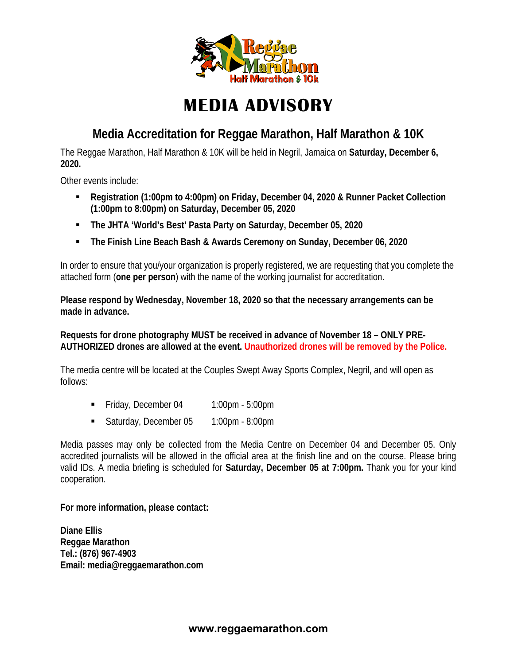

# **MEDIA ADVISORY**

## **Media Accreditation for Reggae Marathon, Half Marathon & 10K**

The Reggae Marathon, Half Marathon & 10K will be held in Negril, Jamaica on **Saturday, December 6, 2020.**

Other events include:

- **Registration (1:00pm to 4:00pm) on Friday, December 04, 2020 & Runner Packet Collection (1:00pm to 8:00pm) on Saturday, December 05, 2020**
- **The JHTA 'World's Best' Pasta Party on Saturday, December 05, 2020**
- **The Finish Line Beach Bash & Awards Ceremony on Sunday, December 06, 2020**

In order to ensure that you/your organization is properly registered, we are requesting that you complete the attached form (**one per person**) with the name of the working journalist for accreditation.

**Please respond by Wednesday, November 18, 2020 so that the necessary arrangements can be made in advance.** 

**Requests for drone photography MUST be received in advance of November 18 – ONLY PRE-AUTHORIZED drones are allowed at the event. Unauthorized drones will be removed by the Police.** 

The media centre will be located at the Couples Swept Away Sports Complex, Negril, and will open as follows:

- Friday, December 04 1:00pm 5:00pm
- Saturday, December 05 1:00pm 8:00pm

Media passes may only be collected from the Media Centre on December 04 and December 05. Only accredited journalists will be allowed in the official area at the finish line and on the course. Please bring valid IDs. A media briefing is scheduled for **Saturday, December 05 at 7:00pm.** Thank you for your kind cooperation.

**For more information, please contact:** 

**Diane Ellis Reggae Marathon Tel.: (876) 967-4903 Email: media@reggaemarathon.com**